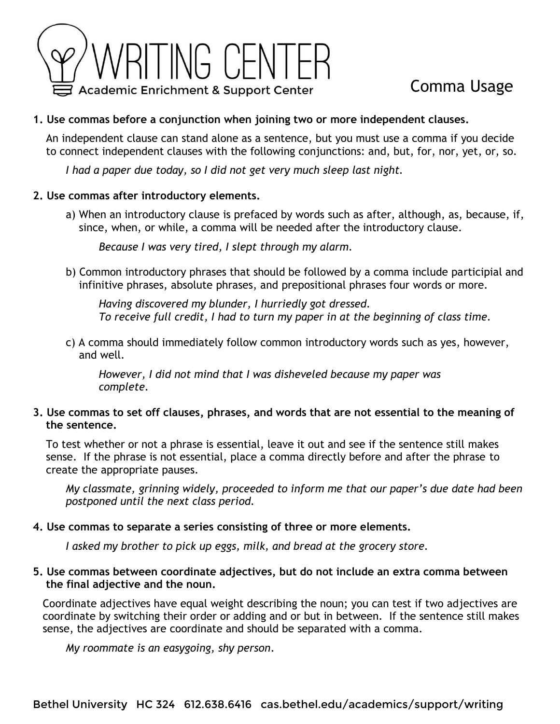

# Comma Usage

## **1. Use commas before a conjunction when joining two or more independent clauses.**

 An independent clause can stand alone as a sentence, but you must use a comma if you decide to connect independent clauses with the following conjunctions: and, but, for, nor, yet, or, so.

*I had a paper due today, so I did not get very much sleep last night.* 

#### **2. Use commas after introductory elements.**

a) When an introductory clause is prefaced by words such as after, although, as, because, if, since, when, or while, a comma will be needed after the introductory clause.

*Because I was very tired, I slept through my alarm.*

b) Common introductory phrases that should be followed by a comma include participial and infinitive phrases, absolute phrases, and prepositional phrases four words or more.

*Having discovered my blunder, I hurriedly got dressed. To receive full credit, I had to turn my paper in at the beginning of class time.*

c) A comma should immediately follow common introductory words such as yes, however, and well.

*However, I did not mind that I was disheveled because my paper was complete.*

### **3. Use commas to set off clauses, phrases, and words that are not essential to the meaning of the sentence.**

 To test whether or not a phrase is essential, leave it out and see if the sentence still makes sense. If the phrase is not essential, place a comma directly before and after the phrase to create the appropriate pauses.

*My classmate, grinning widely, proceeded to inform me that our paper's due date had been postponed until the next class period.*

### **4. Use commas to separate a series consisting of three or more elements.**

*I asked my brother to pick up eggs, milk, and bread at the grocery store.*

### **5. Use commas between coordinate adjectives, but do not include an extra comma between the final adjective and the noun.**

 Coordinate adjectives have equal weight describing the noun; you can test if two adjectives are coordinate by switching their order or adding and or but in between. If the sentence still makes sense, the adjectives are coordinate and should be separated with a comma.

*My roommate is an easygoing, shy person*.